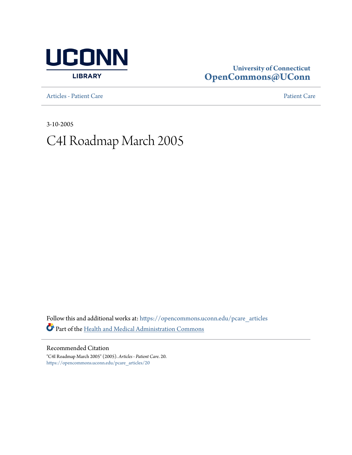

# **University of Connecticut [OpenCommons@UConn](https://opencommons.uconn.edu?utm_source=opencommons.uconn.edu%2Fpcare_articles%2F20&utm_medium=PDF&utm_campaign=PDFCoverPages)**

[Articles - Patient Care](https://opencommons.uconn.edu/pcare_articles?utm_source=opencommons.uconn.edu%2Fpcare_articles%2F20&utm_medium=PDF&utm_campaign=PDFCoverPages) [Patient Care](https://opencommons.uconn.edu/pcare?utm_source=opencommons.uconn.edu%2Fpcare_articles%2F20&utm_medium=PDF&utm_campaign=PDFCoverPages) Patient Care Patient Care Patient Care Patient Care Patient Care Patient Care Patient Care Patient Care Patient Care Patient Care Patient Care Patient Care Patient Care Patient Care Pat

3-10-2005

# C4I Roadmap March 2005

Follow this and additional works at: [https://opencommons.uconn.edu/pcare\\_articles](https://opencommons.uconn.edu/pcare_articles?utm_source=opencommons.uconn.edu%2Fpcare_articles%2F20&utm_medium=PDF&utm_campaign=PDFCoverPages) Part of the [Health and Medical Administration Commons](http://network.bepress.com/hgg/discipline/663?utm_source=opencommons.uconn.edu%2Fpcare_articles%2F20&utm_medium=PDF&utm_campaign=PDFCoverPages)

Recommended Citation "C4I Roadmap March 2005" (2005). *Articles - Patient Care*. 20. [https://opencommons.uconn.edu/pcare\\_articles/20](https://opencommons.uconn.edu/pcare_articles/20?utm_source=opencommons.uconn.edu%2Fpcare_articles%2F20&utm_medium=PDF&utm_campaign=PDFCoverPages)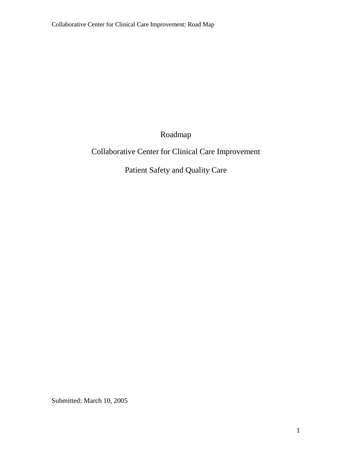Roadmap

# Collaborative Center for Clinical Care Improvement

Patient Safety and Quality Care

Submitted: March 10, 2005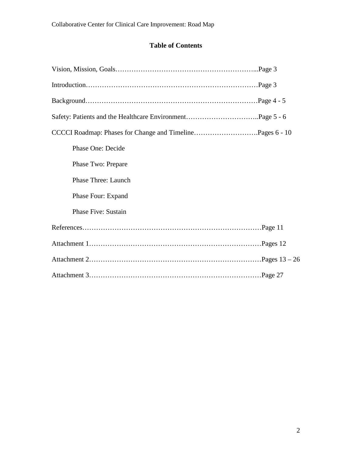# **Table of Contents**

| CCCCI Roadmap: Phases for Change and TimelinePages 6 - 10 |  |
|-----------------------------------------------------------|--|
| Phase One: Decide                                         |  |
| Phase Two: Prepare                                        |  |
| Phase Three: Launch                                       |  |
| Phase Four: Expand                                        |  |
| <b>Phase Five: Sustain</b>                                |  |
|                                                           |  |
|                                                           |  |
|                                                           |  |
|                                                           |  |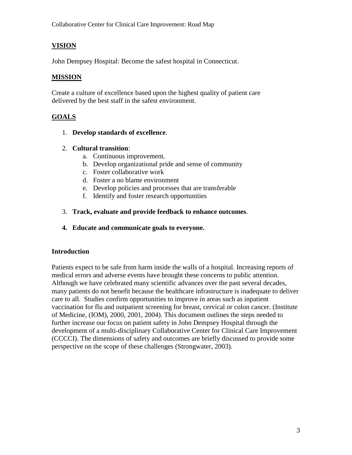# **VISION**

John Dempsey Hospital: Become the safest hospital in Connecticut.

#### **MISSION**

Create a culture of excellence based upon the highest quality of patient care delivered by the best staff in the safest environment.

#### **GOALS**

- 1. **Develop standards of excellence**.
- 2. **Cultural transition**:
	- a. Continuous improvement.
	- b. Develop organizational pride and sense of community
	- c. Foster collaborative work
	- d. Foster a no blame environment
	- e. Develop policies and processes that are transferable
	- f. Identify and foster research opportunities
- 3. **Track, evaluate and provide feedback to enhance outcomes**.
- **4. Educate and communicate goals to everyone.**

#### **Introduction**

Patients expect to be safe from harm inside the walls of a hospital. Increasing reports of medical errors and adverse events have brought these concerns to public attention. Although we have celebrated many scientific advances over the past several decades, many patients do not benefit because the healthcare infrastructure is inadequate to deliver care to all. Studies confirm opportunities to improve in areas such as inpatient vaccination for flu and outpatient screening for breast, cervical or colon cancer. (Institute of Medicine, (IOM), 2000, 2001, 2004). This document outlines the steps needed to further increase our focus on patient safety in John Dempsey Hospital through the development of a multi-disciplinary Collaborative Center for Clinical Care Improvement (CCCCI). The dimensions of safety and outcomes are briefly discussed to provide some perspective on the scope of these challenges (Strongwater, 2003).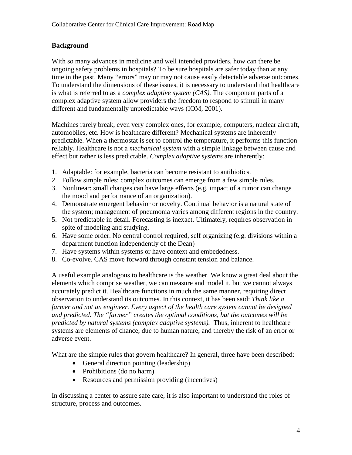## **Background**

With so many advances in medicine and well intended providers, how can there be ongoing safety problems in hospitals? To be sure hospitals are safer today than at any time in the past. Many "errors" may or may not cause easily detectable adverse outcomes. To understand the dimensions of these issues, it is necessary to understand that healthcare is what is referred to as a *complex adaptive system (CAS).* The component parts of a complex adaptive system allow providers the freedom to respond to stimuli in many different and fundamentally unpredictable ways (IOM, 2001).

Machines rarely break, even very complex ones, for example, computers, nuclear aircraft, automobiles, etc. How is healthcare different? Mechanical systems are inherently predictable. When a thermostat is set to control the temperature, it performs this function reliably. Healthcare is not a *mechanical system* with a simple linkage between cause and effect but rather is less predictable. *Complex adaptive systems* are inherently:

- 1. Adaptable: for example, bacteria can become resistant to antibiotics.
- 2. Follow simple rules: complex outcomes can emerge from a few simple rules.
- 3. Nonlinear: small changes can have large effects (e.g. impact of a rumor can change the mood and performance of an organization).
- 4. Demonstrate emergent behavior or novelty. Continual behavior is a natural state of the system; management of pneumonia varies among different regions in the country.
- 5. Not predictable in detail. Forecasting is inexact. Ultimately, requires observation in spite of modeling and studying.
- 6. Have some order. No central control required, self organizing (e.g. divisions within a department function independently of the Dean)
- 7. Have systems within systems or have context and embededness.
- 8. Co-evolve. CAS move forward through constant tension and balance.

A useful example analogous to healthcare is the weather. We know a great deal about the elements which comprise weather, we can measure and model it, but we cannot always accurately predict it. Healthcare functions in much the same manner, requiring direct observation to understand its outcomes. In this context, it has been said: *Think like a farmer and not an engineer. Every aspect of the health care system cannot be designed and predicted. The "farmer" creates the optimal conditions, but the outcomes will be predicted by natural systems (complex adaptive systems).* Thus, inherent to healthcare systems are elements of chance, due to human nature, and thereby the risk of an error or adverse event.

What are the simple rules that govern healthcare? In general, three have been described:

- General direction pointing (leadership)
- Prohibitions (do no harm)
- Resources and permission providing (incentives)

In discussing a center to assure safe care, it is also important to understand the roles of structure, process and outcomes.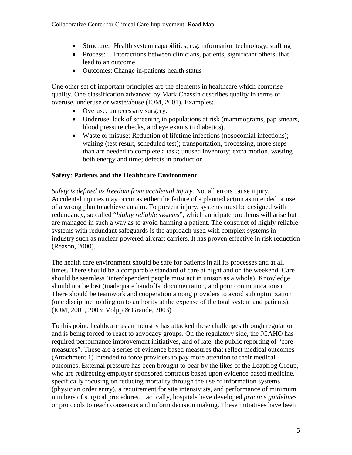- Structure: Health system capabilities, e.g. information technology, staffing
- Process: Interactions between clinicians, patients, significant others, that lead to an outcome
- Outcomes: Change in-patients health status

One other set of important principles are the elements in healthcare which comprise quality. One classification advanced by Mark Chassin describes quality in terms of overuse, underuse or waste/abuse (IOM, 2001). Examples:

- Overuse: unnecessary surgery.
- Underuse: lack of screening in populations at risk (mammograms, pap smears, blood pressure checks, and eye exams in diabetics).
- Waste or misuse: Reduction of lifetime infections (nosocomial infections); waiting (test result, scheduled test); transportation, processing, more steps than are needed to complete a task; unused inventory; extra motion, wasting both energy and time; defects in production.

# **Safety: Patients and the Healthcare Environment**

*Safety is defined as freedom from accidental injury.* Not all errors cause injury. Accidental injuries may occur as either the failure of a planned action as intended or use of a wrong plan to achieve an aim. To prevent injury, systems must be designed with redundancy, so called "*highly reliable systems*", which anticipate problems will arise but are managed in such a way as to avoid harming a patient. The construct of highly reliable systems with redundant safeguards is the approach used with complex systems in industry such as nuclear powered aircraft carriers. It has proven effective in risk reduction (Reason, 2000).

The health care environment should be safe for patients in all its processes and at all times. There should be a comparable standard of care at night and on the weekend. Care should be seamless (interdependent people must act in unison as a whole). Knowledge should not be lost (inadequate handoffs, documentation, and poor communications). There should be teamwork and cooperation among providers to avoid sub optimization (one discipline holding on to authority at the expense of the total system and patients). (IOM, 2001, 2003; Volpp & Grande, 2003)

To this point, healthcare as an industry has attacked these challenges through regulation and is being forced to react to advocacy groups. On the regulatory side, the JCAHO has required performance improvement initiatives, and of late, the public reporting of "core measures". These are a series of evidence based measures that reflect medical outcomes (Attachment 1) intended to force providers to pay more attention to their medical outcomes. External pressure has been brought to bear by the likes of the Leapfrog Group, who are redirecting employer sponsored contracts based upon evidence based medicine, specifically focusing on reducing mortality through the use of information systems (physician order entry), a requirement for site intensivists, and performance of minimum numbers of surgical procedures. Tactically, hospitals have developed *practice guidelines* or protocols to reach consensus and inform decision making. These initiatives have been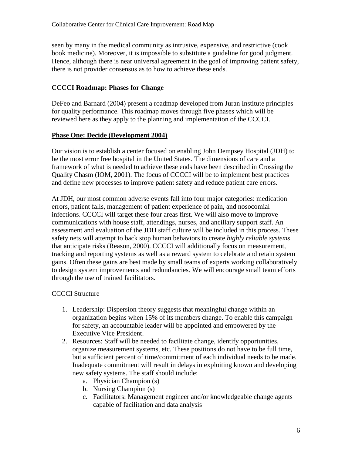seen by many in the medical community as intrusive, expensive, and restrictive (cook book medicine). Moreover, it is impossible to substitute a guideline for good judgment. Hence, although there is near universal agreement in the goal of improving patient safety, there is not provider consensus as to how to achieve these ends.

## **CCCCI Roadmap: Phases for Change**

DeFeo and Barnard (2004) present a roadmap developed from Juran Institute principles for quality performance. This roadmap moves through five phases which will be reviewed here as they apply to the planning and implementation of the CCCCI.

#### **Phase One: Decide (Development 2004)**

Our vision is to establish a center focused on enabling John Dempsey Hospital (JDH) to be the most error free hospital in the United States. The dimensions of care and a framework of what is needed to achieve these ends have been described in Crossing the Quality Chasm (IOM, 2001). The focus of CCCCI will be to implement best practices and define new processes to improve patient safety and reduce patient care errors.

At JDH, our most common adverse events fall into four major categories: medication errors, patient falls, management of patient experience of pain, and nosocomial infections. CCCCI will target these four areas first. We will also move to improve communications with house staff, attendings, nurses, and ancillary support staff. An assessment and evaluation of the JDH staff culture will be included in this process. These safety nets will attempt to back stop human behaviors to create *highly reliable systems* that anticipate risks (Reason, 2000). CCCCI will additionally focus on measurement, tracking and reporting systems as well as a reward system to celebrate and retain system gains. Often these gains are best made by small teams of experts working collaboratively to design system improvements and redundancies. We will encourage small team efforts through the use of trained facilitators.

# **CCCCI** Structure

- 1. Leadership: Dispersion theory suggests that meaningful change within an organization begins when 15% of its members change. To enable this campaign for safety, an accountable leader will be appointed and empowered by the Executive Vice President.
- 2. Resources: Staff will be needed to facilitate change, identify opportunities, organize measurement systems, etc. These positions do not have to be full time, but a sufficient percent of time/commitment of each individual needs to be made. Inadequate commitment will result in delays in exploiting known and developing new safety systems. The staff should include:
	- a. Physician Champion (s)
	- b. Nursing Champion (s)
	- c. Facilitators: Management engineer and/or knowledgeable change agents capable of facilitation and data analysis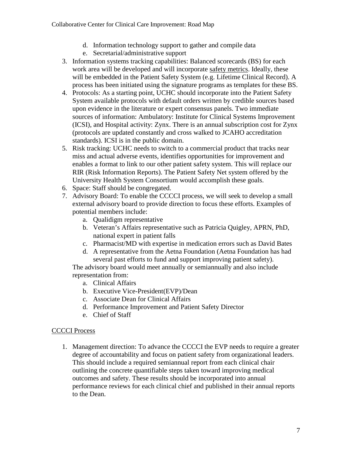- d. Information technology support to gather and compile data
- e. Secretarial/administrative support
- 3. Information systems tracking capabilities: Balanced scorecards (BS) for each work area will be developed and will incorporate safety metrics. Ideally, these will be embedded in the Patient Safety System (e.g. Lifetime Clinical Record). A process has been initiated using the signature programs as templates for these BS.
- 4. Protocols: As a starting point, UCHC should incorporate into the Patient Safety System available protocols with default orders written by credible sources based upon evidence in the literature or expert consensus panels. Two immediate sources of information: Ambulatory: Institute for Clinical Systems Improvement (ICSI), and Hospital activity: Zynx. There is an annual subscription cost for Zynx (protocols are updated constantly and cross walked to JCAHO accreditation standards). ICSI is in the public domain.
- 5. Risk tracking: UCHC needs to switch to a commercial product that tracks near miss and actual adverse events, identifies opportunities for improvement and enables a format to link to our other patient safety system. This will replace our RIR (Risk Information Reports). The Patient Safety Net system offered by the University Health System Consortium would accomplish these goals.
- 6. Space: Staff should be congregated.
- 7. Advisory Board: To enable the CCCCI process, we will seek to develop a small external advisory board to provide direction to focus these efforts. Examples of potential members include:
	- a. Qualidigm representative
	- b. Veteran's Affairs representative such as Patricia Quigley, APRN, PhD, national expert in patient falls
	- c. Pharmacist/MD with expertise in medication errors such as David Bates
	- d. A representative from the Aetna Foundation (Aetna Foundation has had several past efforts to fund and support improving patient safety).

The advisory board would meet annually or semiannually and also include representation from:

- a. Clinical Affairs
- b. Executive Vice-President(EVP)/Dean
- c. Associate Dean for Clinical Affairs
- d. Performance Improvement and Patient Safety Director
- e. Chief of Staff

# CCCCI Process

1. Management direction: To advance the CCCCI the EVP needs to require a greater degree of accountability and focus on patient safety from organizational leaders. This should include a required semiannual report from each clinical chair outlining the concrete quantifiable steps taken toward improving medical outcomes and safety. These results should be incorporated into annual performance reviews for each clinical chief and published in their annual reports to the Dean.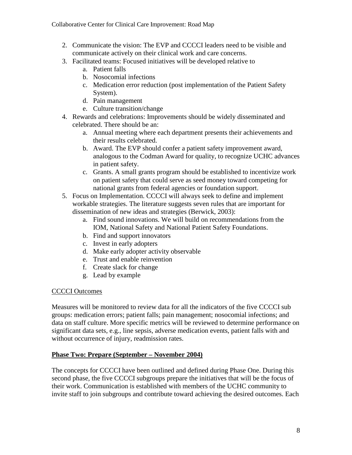- 2. Communicate the vision: The EVP and CCCCI leaders need to be visible and communicate actively on their clinical work and care concerns.
- 3. Facilitated teams: Focused initiatives will be developed relative to
	- a. Patient falls
	- b. Nosocomial infections
	- c. Medication error reduction (post implementation of the Patient Safety System).
	- d. Pain management
	- e. Culture transition/change
- 4. Rewards and celebrations: Improvements should be widely disseminated and celebrated. There should be an:
	- a. Annual meeting where each department presents their achievements and their results celebrated.
	- b. Award. The EVP should confer a patient safety improvement award, analogous to the Codman Award for quality, to recognize UCHC advances in patient safety.
	- c. Grants. A small grants program should be established to incentivize work on patient safety that could serve as seed money toward competing for national grants from federal agencies or foundation support.
- 5. Focus on Implementation. CCCCI will always seek to define and implement workable strategies. The literature suggests seven rules that are important for dissemination of new ideas and strategies (Berwick, 2003):
	- a. Find sound innovations. We will build on recommendations from the IOM, National Safety and National Patient Safety Foundations.
	- b. Find and support innovators
	- c. Invest in early adopters
	- d. Make early adopter activity observable
	- e. Trust and enable reinvention
	- f. Create slack for change
	- g. Lead by example

#### CCCCI Outcomes

Measures will be monitored to review data for all the indicators of the five CCCCI sub groups: medication errors; patient falls; pain management; nosocomial infections; and data on staff culture. More specific metrics will be reviewed to determine performance on significant data sets, e.g., line sepsis, adverse medication events, patient falls with and without occurrence of injury, readmission rates.

#### **Phase Two: Prepare (September – November 2004)**

The concepts for CCCCI have been outlined and defined during Phase One. During this second phase, the five CCCCI subgroups prepare the initiatives that will be the focus of their work. Communication is established with members of the UCHC community to invite staff to join subgroups and contribute toward achieving the desired outcomes. Each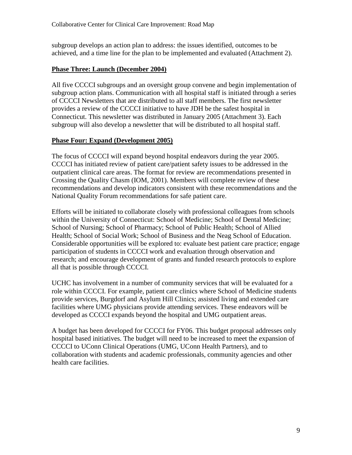subgroup develops an action plan to address: the issues identified, outcomes to be achieved, and a time line for the plan to be implemented and evaluated (Attachment 2).

#### **Phase Three: Launch (December 2004)**

All five CCCCI subgroups and an oversight group convene and begin implementation of subgroup action plans. Communication with all hospital staff is initiated through a series of CCCCI Newsletters that are distributed to all staff members. The first newsletter provides a review of the CCCCI initiative to have JDH be the safest hospital in Connecticut. This newsletter was distributed in January 2005 (Attachment 3). Each subgroup will also develop a newsletter that will be distributed to all hospital staff.

#### **Phase Four: Expand (Development 2005)**

The focus of CCCCI will expand beyond hospital endeavors during the year 2005. CCCCI has initiated review of patient care/patient safety issues to be addressed in the outpatient clinical care areas. The format for review are recommendations presented in Crossing the Quality Chasm (IOM, 2001). Members will complete review of these recommendations and develop indicators consistent with these recommendations and the National Quality Forum recommendations for safe patient care.

Efforts will be initiated to collaborate closely with professional colleagues from schools within the University of Connecticut: School of Medicine; School of Dental Medicine; School of Nursing; School of Pharmacy; School of Public Health; School of Allied Health; School of Social Work; School of Business and the Neag School of Education. Considerable opportunities will be explored to: evaluate best patient care practice; engage participation of students in CCCCI work and evaluation through observation and research; and encourage development of grants and funded research protocols to explore all that is possible through CCCCI.

UCHC has involvement in a number of community services that will be evaluated for a role within CCCCI. For example, patient care clinics where School of Medicine students provide services, Burgdorf and Asylum Hill Clinics; assisted living and extended care facilities where UMG physicians provide attending services. These endeavors will be developed as CCCCI expands beyond the hospital and UMG outpatient areas.

A budget has been developed for CCCCI for FY06. This budget proposal addresses only hospital based initiatives. The budget will need to be increased to meet the expansion of CCCCI to UConn Clinical Operations (UMG, UConn Health Partners), and to collaboration with students and academic professionals, community agencies and other health care facilities.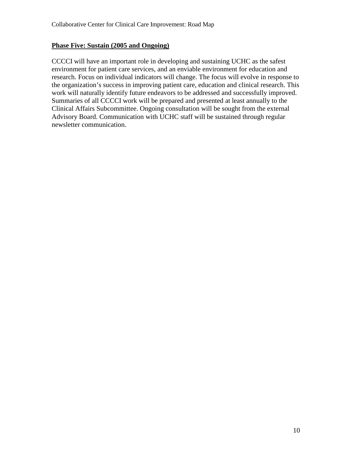#### **Phase Five: Sustain (2005 and Ongoing)**

CCCCI will have an important role in developing and sustaining UCHC as the safest environment for patient care services, and an enviable environment for education and research. Focus on individual indicators will change. The focus will evolve in response to the organization's success in improving patient care, education and clinical research. This work will naturally identify future endeavors to be addressed and successfully improved. Summaries of all CCCCI work will be prepared and presented at least annually to the Clinical Affairs Subcommittee. Ongoing consultation will be sought from the external Advisory Board. Communication with UCHC staff will be sustained through regular newsletter communication.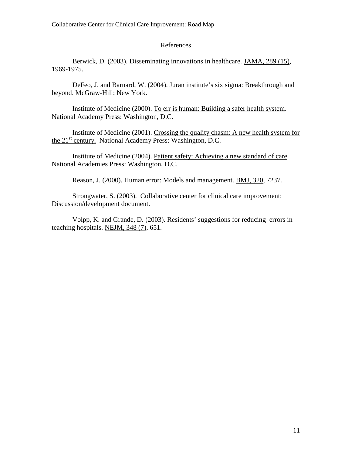#### References

Berwick, D. (2003). Disseminating innovations in healthcare. JAMA, 289 (15), 1969-1975.

DeFeo, J. and Barnard, W. (2004). Juran institute's six sigma: Breakthrough and beyond. McGraw-Hill: New York.

Institute of Medicine (2000). To err is human: Building a safer health system. National Academy Press: Washington, D.C.

Institute of Medicine (2001). Crossing the quality chasm: A new health system for the 21<sup>st</sup> century. National Academy Press: Washington, D.C.

Institute of Medicine (2004). Patient safety: Achieving a new standard of care. National Academies Press: Washington, D.C.

Reason, J. (2000). Human error: Models and management. BMJ, 320, 7237.

Strongwater, S. (2003). Collaborative center for clinical care improvement: Discussion/development document.

Volpp, K. and Grande, D. (2003). Residents' suggestions for reducing errors in teaching hospitals. NEJM, 348 (7), 651.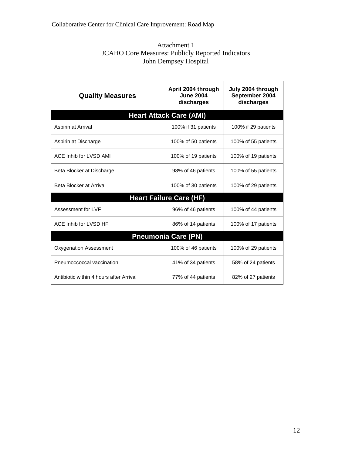| Attachment 1                                             |
|----------------------------------------------------------|
| <b>JCAHO Core Measures: Publicly Reported Indicators</b> |
| John Dempsey Hospital                                    |

| <b>Quality Measures</b>                 | April 2004 through<br><b>June 2004</b><br>discharges | July 2004 through<br>September 2004<br>discharges |
|-----------------------------------------|------------------------------------------------------|---------------------------------------------------|
|                                         | <b>Heart Attack Care (AMI)</b>                       |                                                   |
| Aspirin at Arrival                      | 100% if 31 patients                                  | 100% if 29 patients                               |
| Aspirin at Discharge                    | 100% of 50 patients                                  | 100% of 55 patients                               |
| ACE Inhib for LVSD AMI                  | 100% of 19 patients                                  | 100% of 19 patients                               |
| Beta Blocker at Discharge               | 98% of 46 patients                                   | 100% of 55 patients                               |
| Beta Blocker at Arrival                 | 100% of 30 patients                                  | 100% of 29 patients                               |
|                                         | <b>Heart Failure Care (HF)</b>                       |                                                   |
| Assessment for LVF                      | 96% of 46 patients                                   | 100% of 44 patients                               |
| ACE Inhib for LVSD HF                   | 86% of 14 patients                                   | 100% of 17 patients                               |
|                                         | <b>Pneumonia Care (PN)</b>                           |                                                   |
| Oxygenation Assessment                  | 100% of 46 patients                                  | 100% of 29 patients                               |
| Pneumoccoccal vaccination               | 41% of 34 patients                                   | 58% of 24 patients                                |
| Antibiotic within 4 hours after Arrival | 77% of 44 patients                                   | 82% of 27 patients                                |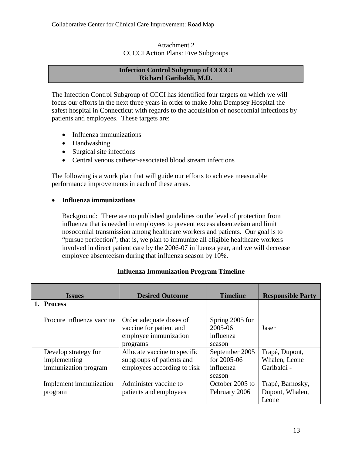#### Attachment 2 CCCCI Action Plans: Five Subgroups

#### **Infection Control Subgroup of CCCCI Richard Garibaldi, M.D.**

The Infection Control Subgroup of CCCI has identified four targets on which we will focus our efforts in the next three years in order to make John Dempsey Hospital the safest hospital in Connecticut with regards to the acquisition of nosocomial infections by patients and employees. These targets are:

- Influenza immunizations
- Handwashing
- Surgical site infections
- Central venous catheter-associated blood stream infections

The following is a work plan that will guide our efforts to achieve measurable performance improvements in each of these areas.

#### • **Influenza immunizations**

Background: There are no published guidelines on the level of protection from influenza that is needed in employees to prevent excess absenteeism and limit nosocomial transmission among healthcare workers and patients. Our goal is to "pursue perfection"; that is, we plan to immunize all eligible healthcare workers involved in direct patient care by the 2006-07 influenza year, and we will decrease employee absenteeism during that influenza season by 10%.

| <b>Issues</b>             | <b>Desired Outcome</b>                             | <b>Timeline</b>            | <b>Responsible Party</b> |
|---------------------------|----------------------------------------------------|----------------------------|--------------------------|
| 1. Process                |                                                    |                            |                          |
| Procure influenza vaccine | Order adequate doses of<br>vaccine for patient and | Spring 2005 for<br>2005-06 | Jaser                    |
|                           | employee immunization<br>programs                  | influenza<br>season        |                          |
| Develop strategy for      | Allocate vaccine to specific                       | September 2005             | Trapé, Dupont,           |
| implementing              | subgroups of patients and                          | for 2005-06                | Whalen, Leone            |
| immunization program      | employees according to risk                        | influenza<br>season        | Garibaldi -              |
| Implement immunization    | Administer vaccine to                              | October 2005 to            | Trapé, Barnosky,         |
| program                   | patients and employees                             | February 2006              | Dupont, Whalen,          |
|                           |                                                    |                            | Leone                    |

#### **Influenza Immunization Program Timeline**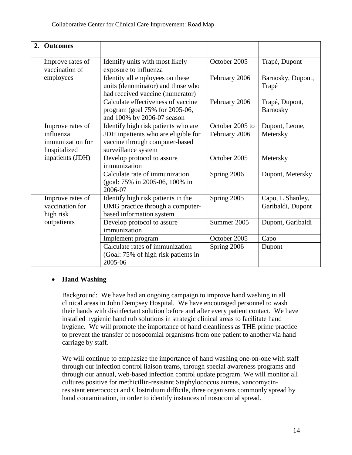| 2. | <b>Outcomes</b>                                                   |                                                                                                                                     |                                  |                                       |
|----|-------------------------------------------------------------------|-------------------------------------------------------------------------------------------------------------------------------------|----------------------------------|---------------------------------------|
|    | Improve rates of<br>vaccination of                                | Identify units with most likely<br>exposure to influenza                                                                            | October 2005                     | Trapé, Dupont                         |
|    | employees                                                         | Identity all employees on these<br>units (denominator) and those who<br>had received vaccine (numerator)                            | February 2006                    | Barnosky, Dupont,<br>Trapé            |
|    |                                                                   | Calculate effectiveness of vaccine<br>program (goal 75% for 2005-06,<br>and 100% by 2006-07 season                                  | February 2006                    | Trapé, Dupont,<br><b>Barnosky</b>     |
|    | Improve rates of<br>influenza<br>immunization for<br>hospitalized | Identify high risk patients who are<br>JDH inpatients who are eligible for<br>vaccine through computer-based<br>surveillance system | October 2005 to<br>February 2006 | Dupont, Leone,<br>Metersky            |
|    | inpatients (JDH)                                                  | Develop protocol to assure<br>immunization                                                                                          | October 2005                     | Metersky                              |
|    |                                                                   | Calculate rate of immunization<br>(goal: 75% in 2005-06, 100% in<br>2006-07                                                         | Spring 2006                      | Dupont, Metersky                      |
|    | Improve rates of<br>vaccination for<br>high risk                  | Identify high risk patients in the<br>UMG practice through a computer-<br>based information system                                  | Spring 2005                      | Capo, L Shanley,<br>Garibaldi, Dupont |
|    | outpatients                                                       | Develop protocol to assure<br>immunization                                                                                          | Summer 2005                      | Dupont, Garibaldi                     |
|    |                                                                   | Implement program                                                                                                                   | October 2005                     | Capo                                  |
|    |                                                                   | Calculate rates of immunization<br>(Goal: 75% of high risk patients in<br>2005-06                                                   | Spring 2006                      | Dupont                                |

#### • **Hand Washing**

Background: We have had an ongoing campaign to improve hand washing in all clinical areas in John Dempsey Hospital. We have encouraged personnel to wash their hands with disinfectant solution before and after every patient contact. We have installed hygienic hand rub solutions in strategic clinical areas to facilitate hand hygiene. We will promote the importance of hand cleanliness as THE prime practice to prevent the transfer of nosocomial organisms from one patient to another via hand carriage by staff.

We will continue to emphasize the importance of hand washing one-on-one with staff through our infection control liaison teams, through special awareness programs and through our annual, web-based infection control update program. We will monitor all cultures positive for methicillin-resistant Staphylococcus aureus, vancomycinresistant enterococci and Clostridium difficile, three organisms commonly spread by hand contamination, in order to identify instances of nosocomial spread.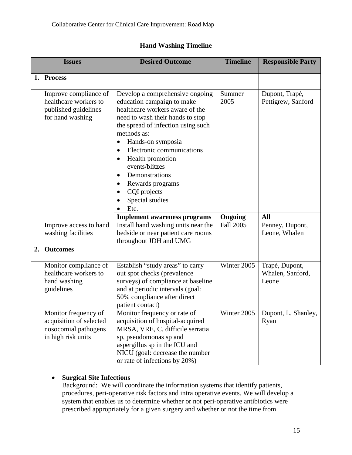# **Hand Washing Timeline**

|    | <b>Issues</b>                                                                                 | <b>Desired Outcome</b>                                                                                                                                                                                                                                                                                                                                                                       | <b>Timeline</b>  | <b>Responsible Party</b>                    |
|----|-----------------------------------------------------------------------------------------------|----------------------------------------------------------------------------------------------------------------------------------------------------------------------------------------------------------------------------------------------------------------------------------------------------------------------------------------------------------------------------------------------|------------------|---------------------------------------------|
| 1. | <b>Process</b>                                                                                |                                                                                                                                                                                                                                                                                                                                                                                              |                  |                                             |
|    |                                                                                               |                                                                                                                                                                                                                                                                                                                                                                                              |                  |                                             |
|    | Improve compliance of<br>healthcare workers to<br>published guidelines<br>for hand washing    | Develop a comprehensive ongoing<br>education campaign to make<br>healthcare workers aware of the<br>need to wash their hands to stop<br>the spread of infection using such<br>methods as:<br>Hands-on symposia<br>Electronic communications<br>Health promotion<br>events/blitzes<br>Demonstrations<br>$\bullet$<br>Rewards programs<br>$\bullet$<br>CQI projects<br>Special studies<br>Etc. | Summer<br>2005   | Dupont, Trapé,<br>Pettigrew, Sanford        |
|    |                                                                                               | <b>Implement awareness programs</b>                                                                                                                                                                                                                                                                                                                                                          | Ongoing          | <b>All</b>                                  |
|    | Improve access to hand<br>washing facilities                                                  | Install hand washing units near the<br>bedside or near patient care rooms<br>throughout JDH and UMG                                                                                                                                                                                                                                                                                          | <b>Fall 2005</b> | Penney, Dupont,<br>Leone, Whalen            |
| 2. | <b>Outcomes</b>                                                                               |                                                                                                                                                                                                                                                                                                                                                                                              |                  |                                             |
|    | Monitor compliance of<br>healthcare workers to<br>hand washing<br>guidelines                  | Establish "study areas" to carry<br>out spot checks (prevalence<br>surveys) of compliance at baseline<br>and at periodic intervals (goal:<br>50% compliance after direct<br>patient contact)                                                                                                                                                                                                 | Winter 2005      | Trapé, Dupont,<br>Whalen, Sanford,<br>Leone |
|    | Monitor frequency of<br>acquisition of selected<br>nosocomial pathogens<br>in high risk units | Monitor frequency or rate of<br>acquisition of hospital-acquired<br>MRSA, VRE, C. difficile serratia<br>sp, pseudomonas sp and<br>aspergillus sp in the ICU and<br>NICU (goal: decrease the number<br>or rate of infections by 20%)                                                                                                                                                          |                  | Winter 2005   Dupont, L. Shanley,<br>Ryan   |

# • **Surgical Site Infections**

Background: We will coordinate the information systems that identify patients, procedures, peri-operative risk factors and intra operative events. We will develop a system that enables us to determine whether or not peri-operative antibiotics were prescribed appropriately for a given surgery and whether or not the time from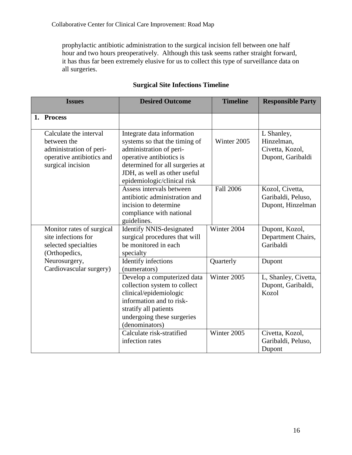prophylactic antibiotic administration to the surgical incision fell between one half hour and two hours preoperatively. Although this task seems rather straight forward, it has thus far been extremely elusive for us to collect this type of surveillance data on all surgeries.

| <b>Issues</b>                                                                                                      | <b>Desired Outcome</b>                                                                                                                                                                                               | <b>Timeline</b>  | <b>Responsible Party</b>                                         |
|--------------------------------------------------------------------------------------------------------------------|----------------------------------------------------------------------------------------------------------------------------------------------------------------------------------------------------------------------|------------------|------------------------------------------------------------------|
| 1. Process                                                                                                         |                                                                                                                                                                                                                      |                  |                                                                  |
| Calculate the interval<br>between the<br>administration of peri-<br>operative antibiotics and<br>surgical incision | Integrate data information<br>systems so that the timing of<br>administration of peri-<br>operative antibiotics is<br>determined for all surgeries at<br>JDH, as well as other useful<br>epidemiologic/clinical risk | Winter 2005      | L Shanley,<br>Hinzelman,<br>Civetta, Kozol,<br>Dupont, Garibaldi |
|                                                                                                                    | Assess intervals between<br>antibiotic administration and<br>incision to determine<br>compliance with national<br>guidelines.                                                                                        | <b>Fall 2006</b> | Kozol, Civetta,<br>Garibaldi, Peluso,<br>Dupont, Hinzelman       |
| Monitor rates of surgical<br>site infections for<br>selected specialties<br>(Orthopedics,                          | <b>Identify NNIS-designated</b><br>surgical procedures that will<br>be monitored in each<br>specialty                                                                                                                | Winter 2004      | Dupont, Kozol,<br>Department Chairs,<br>Garibaldi                |
| Neurosurgery,<br>Cardiovascular surgery)                                                                           | Identify infections<br>(numerators)                                                                                                                                                                                  | Quarterly        | Dupont                                                           |
|                                                                                                                    | Develop a computerized data<br>collection system to collect<br>clinical/epidemiologic<br>information and to risk-<br>stratify all patients<br>undergoing these surgeries<br>(denominators)                           | Winter 2005      | L, Shanley, Civetta,<br>Dupont, Garibaldi,<br>Kozol              |
|                                                                                                                    | Calculate risk-stratified<br>infection rates                                                                                                                                                                         | Winter 2005      | Civetta, Kozol,<br>Garibaldi, Peluso,<br>Dupont                  |

# **Surgical Site Infections Timeline**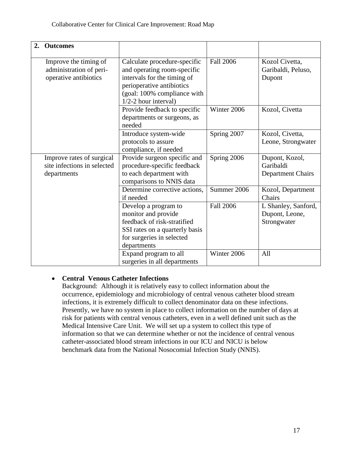| 2. | <b>Outcomes</b>                                                           |                                                                                                                                                                                  |                  |                                                         |
|----|---------------------------------------------------------------------------|----------------------------------------------------------------------------------------------------------------------------------------------------------------------------------|------------------|---------------------------------------------------------|
|    | Improve the timing of<br>administration of peri-<br>operative antibiotics | Calculate procedure-specific<br>and operating room-specific<br>intervals for the timing of<br>perioperative antibiotics<br>(goal: 100% compliance with<br>$1/2-2$ hour interval) | <b>Fall 2006</b> | Kozol Civetta,<br>Garibaldi, Peluso,<br>Dupont          |
|    |                                                                           | Provide feedback to specific<br>departments or surgeons, as<br>needed                                                                                                            | Winter 2006      | Kozol, Civetta                                          |
|    |                                                                           | Introduce system-wide<br>protocols to assure<br>compliance, if needed                                                                                                            | Spring 2007      | Kozol, Civetta,<br>Leone, Strongwater                   |
|    | Improve rates of surgical<br>site infections in selected<br>departments   | Provide surgeon specific and<br>procedure-specific feedback<br>to each department with<br>comparisons to NNIS data                                                               | Spring 2006      | Dupont, Kozol,<br>Garibaldi<br><b>Department Chairs</b> |
|    |                                                                           | Determine corrective actions,<br>if needed                                                                                                                                       | Summer 2006      | Kozol, Department<br>Chairs                             |
|    |                                                                           | Develop a program to<br>monitor and provide<br>feedback of risk-stratified<br>SSI rates on a quarterly basis<br>for surgeries in selected<br>departments                         | <b>Fall 2006</b> | L Shanley, Sanford,<br>Dupont, Leone,<br>Strongwater    |
|    |                                                                           | Expand program to all<br>surgeries in all departments                                                                                                                            | Winter 2006      | All                                                     |

# • **Central Venous Catheter Infections**

Background: Although it is relatively easy to collect information about the occurrence, epidemiology and microbiology of central venous catheter blood stream infections, it is extremely difficult to collect denominator data on these infections. Presently, we have no system in place to collect information on the number of days at risk for patients with central venous catheters, even in a well defined unit such as the Medical Intensive Care Unit. We will set up a system to collect this type of information so that we can determine whether or not the incidence of central venous catheter-associated blood stream infections in our ICU and NICU is below benchmark data from the National Nosocomial Infection Study (NNIS).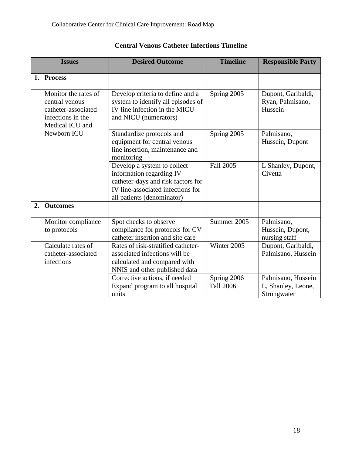|    | <b>Issues</b>                                                                                         | <b>Desired Outcome</b>                                                                                                                                           | <b>Timeline</b>  | <b>Responsible Party</b>                          |
|----|-------------------------------------------------------------------------------------------------------|------------------------------------------------------------------------------------------------------------------------------------------------------------------|------------------|---------------------------------------------------|
|    | 1. Process                                                                                            |                                                                                                                                                                  |                  |                                                   |
|    | Monitor the rates of<br>central venous<br>catheter-associated<br>infections in the<br>Medical ICU and | Develop criteria to define and a<br>system to identify all episodes of<br>IV line infection in the MICU<br>and NICU (numerators)                                 | Spring 2005      | Dupont, Garibaldi,<br>Ryan, Palmisano,<br>Hussein |
|    | Newborn ICU                                                                                           | Standardize protocols and<br>equipment for central venous<br>line insertion, maintenance and<br>monitoring                                                       | Spring 2005      | Palmisano,<br>Hussein, Dupont                     |
|    |                                                                                                       | Develop a system to collect<br>information regarding IV<br>catheter-days and risk factors for<br>IV line-associated infections for<br>all patients (denominator) | Fall 2005        | L Shanley, Dupont,<br>Civetta                     |
| 2. | <b>Outcomes</b>                                                                                       |                                                                                                                                                                  |                  |                                                   |
|    | Monitor compliance<br>to protocols                                                                    | Spot checks to observe<br>compliance for protocols for CV<br>catheter insertion and site care                                                                    | Summer 2005      | Palmisano,<br>Hussein, Dupont,<br>nursing staff   |
|    | Calculate rates of<br>catheter-associated<br>infections                                               | Rates of risk-stratified catheter-<br>associated infections will be<br>calculated and compared with<br>NNIS and other published data                             | Winter 2005      | Dupont, Garibaldi,<br>Palmisano, Hussein          |
|    |                                                                                                       | Corrective actions, if needed                                                                                                                                    | Spring 2006      | Palmisano, Hussein                                |
|    |                                                                                                       | Expand program to all hospital<br>units                                                                                                                          | <b>Fall 2006</b> | L, Shanley, Leone,<br>Strongwater                 |

# **Central Venous Catheter Infections Timeline**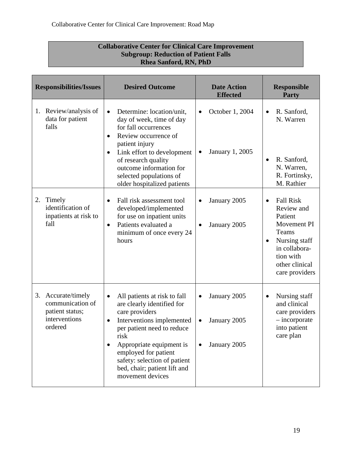| <b>Subgroup: Reduction of Patient Falls</b><br><b>Rhea Sanford, RN, PhD</b>              |                                                                                                                                                                                                                                                                                                                        |                                                           |                                                                                                                                                                                |
|------------------------------------------------------------------------------------------|------------------------------------------------------------------------------------------------------------------------------------------------------------------------------------------------------------------------------------------------------------------------------------------------------------------------|-----------------------------------------------------------|--------------------------------------------------------------------------------------------------------------------------------------------------------------------------------|
| <b>Responsibilities/Issues</b>                                                           | <b>Desired Outcome</b>                                                                                                                                                                                                                                                                                                 | <b>Date Action</b><br><b>Effected</b>                     | <b>Responsible</b><br>Party                                                                                                                                                    |
| 1. Review/analysis of<br>data for patient<br>falls                                       | Determine: location/unit.<br>$\bullet$<br>day of week, time of day<br>for fall occurrences<br>Review occurrence of<br>$\bullet$<br>patient injury<br>Link effort to development<br>$\bullet$<br>of research quality<br>outcome information for<br>selected populations of<br>older hospitalized patients               | October 1, 2004<br><b>January 1, 2005</b>                 | R. Sanford,<br>$\bullet$<br>N. Warren<br>R. Sanford,<br>N. Warren,<br>R. Fortinsky,<br>M. Rathier                                                                              |
| Timely<br>2.<br>identification of<br>inpatients at risk to<br>fall                       | Fall risk assessment tool<br>$\bullet$<br>developed/implemented<br>for use on inpatient units<br>Patients evaluated a<br>$\bullet$<br>minimum of once every 24<br>hours                                                                                                                                                | January 2005<br>January 2005                              | <b>Fall Risk</b><br>$\bullet$<br>Review and<br>Patient<br>Movement PI<br>Teams<br>Nursing staff<br>$\bullet$<br>in collabora-<br>tion with<br>other clinical<br>care providers |
| Accurate/timely<br>3.<br>communication of<br>patient status;<br>interventions<br>ordered | All patients at risk to fall<br>$\bullet$<br>are clearly identified for<br>care providers<br>Interventions implemented<br>$\bullet$<br>per patient need to reduce<br>risk<br>Appropriate equipment is<br>٠<br>employed for patient<br>safety: selection of patient<br>bed, chair; patient lift and<br>movement devices | January 2005<br>$\bullet$<br>January 2005<br>January 2005 | Nursing staff<br>$\bullet$<br>and clinical<br>care providers<br>$-$ incorporate<br>into patient<br>care plan                                                                   |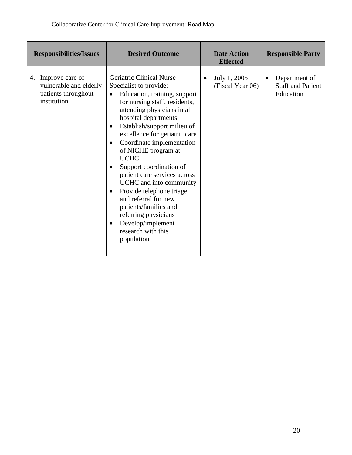| <b>Responsibilities/Issues</b>                                                        | <b>Desired Outcome</b>                                                                                                                                                                                                                                                                                                                                                                                                                                                                                                                                                                                                                         | <b>Date Action</b><br><b>Effected</b> | <b>Responsible Party</b>                                            |
|---------------------------------------------------------------------------------------|------------------------------------------------------------------------------------------------------------------------------------------------------------------------------------------------------------------------------------------------------------------------------------------------------------------------------------------------------------------------------------------------------------------------------------------------------------------------------------------------------------------------------------------------------------------------------------------------------------------------------------------------|---------------------------------------|---------------------------------------------------------------------|
| Improve care of<br>4.<br>vulnerable and elderly<br>patients throughout<br>institution | <b>Geriatric Clinical Nurse</b><br>Specialist to provide:<br>Education, training, support<br>$\bullet$<br>for nursing staff, residents,<br>attending physicians in all<br>hospital departments<br>Establish/support milieu of<br>$\bullet$<br>excellence for geriatric care<br>Coordinate implementation<br>$\bullet$<br>of NICHE program at<br><b>UCHC</b><br>Support coordination of<br>$\bullet$<br>patient care services across<br>UCHC and into community<br>Provide telephone triage<br>٠<br>and referral for new<br>patients/families and<br>referring physicians<br>Develop/implement<br>$\bullet$<br>research with this<br>population | July 1, 2005<br>(Fiscal Year 06)      | Department of<br>$\bullet$<br><b>Staff and Patient</b><br>Education |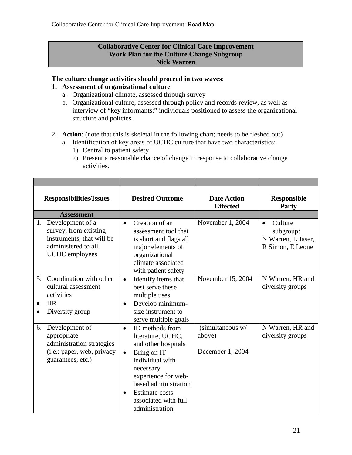#### **Collaborative Center for Clinical Care Improvement Work Plan for the Culture Change Subgroup Nick Warren**

#### **The culture change activities should proceed in two waves**:

#### **1. Assessment of organizational culture**

- a. Organizational climate, assessed through survey
- b. Organizational culture, assessed through policy and records review, as well as interview of "key informants:" individuals positioned to assess the organizational structure and policies.
- 2. **Action**: (note that this is skeletal in the following chart; needs to be fleshed out)
	- a. Identification of key areas of UCHC culture that have two characteristics:
		- 1) Central to patient safety
		- 2) Present a reasonable chance of change in response to collaborative change activities.

| <b>Responsibilities/Issues</b>                                                                                               | <b>Desired Outcome</b>                                                                                                                                                                                                                                              | <b>Date Action</b><br><b>Effected</b>          | <b>Responsible</b><br>Party                                                 |
|------------------------------------------------------------------------------------------------------------------------------|---------------------------------------------------------------------------------------------------------------------------------------------------------------------------------------------------------------------------------------------------------------------|------------------------------------------------|-----------------------------------------------------------------------------|
| <b>Assessment</b>                                                                                                            |                                                                                                                                                                                                                                                                     |                                                |                                                                             |
| Development of a<br>1.<br>survey, from existing<br>instruments, that will be<br>administered to all<br><b>UCHC</b> employees | Creation of an<br>$\bullet$<br>assessment tool that<br>is short and flags all<br>major elements of<br>organizational<br>climate associated<br>with patient safety                                                                                                   | November 1, 2004                               | Culture<br>$\bullet$<br>subgroup:<br>N Warren, L Jaser,<br>R Simon, E Leone |
| Coordination with other<br>5.<br>cultural assessment<br>activities<br><b>HR</b><br>$\bullet$<br>Diversity group<br>٠         | Identify items that<br>$\bullet$<br>best serve these<br>multiple uses<br>Develop minimum-<br>$\bullet$<br>size instrument to<br>serve multiple goals                                                                                                                | November 15, 2004                              | N Warren, HR and<br>diversity groups                                        |
| Development of<br>6.<br>appropriate<br>administration strategies<br>(i.e.: paper, web, privacy<br>guarantees, etc.)          | ID methods from<br>$\bullet$<br>literature, UCHC,<br>and other hospitals<br>Bring on IT<br>$\bullet$<br>individual with<br>necessary<br>experience for web-<br>based administration<br><b>Estimate costs</b><br>$\bullet$<br>associated with full<br>administration | (simultaneous w/<br>above)<br>December 1, 2004 | N Warren, HR and<br>diversity groups                                        |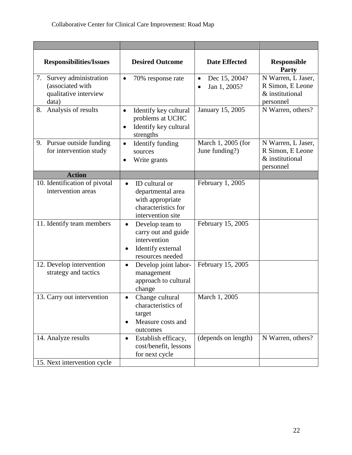| <b>Responsibilities/Issues</b>                                                 | <b>Desired Outcome</b>                                                                                                    | <b>Date Effected</b>                       | <b>Responsible</b><br>Party                                            |
|--------------------------------------------------------------------------------|---------------------------------------------------------------------------------------------------------------------------|--------------------------------------------|------------------------------------------------------------------------|
| 7. Survey administration<br>(associated with<br>qualitative interview<br>data) | 70% response rate<br>$\bullet$                                                                                            | Dec 15, 2004?<br>$\bullet$<br>Jan 1, 2005? | N Warren, L Jaser,<br>R Simon, E Leone<br>& institutional<br>personnel |
| Analysis of results<br>8.                                                      | Identify key cultural<br>$\bullet$<br>problems at UCHC<br>Identify key cultural<br>$\bullet$<br>strengths                 | January 15, 2005                           | N Warren, others?                                                      |
| 9. Pursue outside funding<br>for intervention study                            | Identify funding<br>$\bullet$<br>sources<br>Write grants<br>$\bullet$                                                     | March 1, 2005 (for<br>June funding?)       | N Warren, L Jaser,<br>R Simon, E Leone<br>& institutional<br>personnel |
| <b>Action</b>                                                                  |                                                                                                                           |                                            |                                                                        |
| 10. Identification of pivotal<br>intervention areas                            | ID cultural or<br>$\bullet$<br>departmental area<br>with appropriate<br>characteristics for<br>intervention site          | February 1, 2005                           |                                                                        |
| 11. Identify team members                                                      | Develop team to<br>$\bullet$<br>carry out and guide<br>intervention<br>Identify external<br>$\bullet$<br>resources needed | February 15, 2005                          |                                                                        |
| 12. Develop intervention<br>strategy and tactics                               | Develop joint labor-<br>$\bullet$<br>management<br>approach to cultural<br>change                                         | February 15, 2005                          |                                                                        |
| 13. Carry out intervention                                                     | Change cultural<br>characteristics of<br>target<br>Measure costs and<br>$\bullet$<br>outcomes                             | March 1, 2005                              |                                                                        |
| 14. Analyze results                                                            | Establish efficacy,<br>$\bullet$<br>cost/benefit, lessons<br>for next cycle                                               | (depends on length)                        | N Warren, others?                                                      |
| 15. Next intervention cycle                                                    |                                                                                                                           |                                            |                                                                        |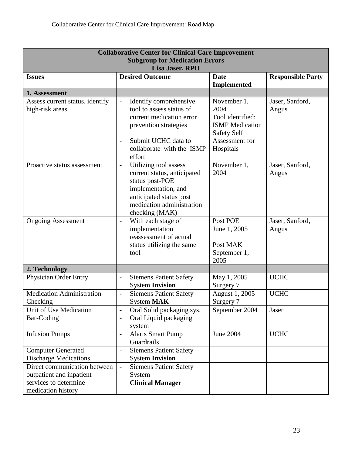| <b>Collaborative Center for Clinical Care Improvement</b><br><b>Subgroup for Medication Errors</b><br><b>Lisa Jaser, RPH</b> |                                                                                                                                                                                                                     |                                                                                                                        |                          |  |  |
|------------------------------------------------------------------------------------------------------------------------------|---------------------------------------------------------------------------------------------------------------------------------------------------------------------------------------------------------------------|------------------------------------------------------------------------------------------------------------------------|--------------------------|--|--|
| <b>Issues</b>                                                                                                                | <b>Desired Outcome</b>                                                                                                                                                                                              | <b>Date</b><br><b>Implemented</b>                                                                                      | <b>Responsible Party</b> |  |  |
| 1. Assessment                                                                                                                |                                                                                                                                                                                                                     |                                                                                                                        |                          |  |  |
| Assess current status, identify<br>high-risk areas.                                                                          | Identify comprehensive<br>$\blacksquare$<br>tool to assess status of<br>current medication error<br>prevention strategies<br>Submit UCHC data to<br>$\overline{\phantom{a}}$<br>collaborate with the ISMP<br>effort | November 1,<br>2004<br>Tool identified:<br><b>ISMP</b> Medication<br><b>Safety Self</b><br>Assessment for<br>Hospitals | Jaser, Sanford,<br>Angus |  |  |
| Proactive status assessment                                                                                                  | Utilizing tool assess<br>$\overline{\phantom{a}}$<br>current status, anticipated<br>status post-POE<br>implementation, and<br>anticipated status post<br>medication administration<br>checking (MAK)                | November 1,<br>2004                                                                                                    | Jaser, Sanford,<br>Angus |  |  |
| <b>Ongoing Assessment</b>                                                                                                    | With each stage of<br>$\overline{\phantom{a}}$<br>implementation<br>reassessment of actual<br>status utilizing the same<br>tool                                                                                     | Post POE<br>June 1, 2005<br>Post MAK<br>September 1,<br>2005                                                           | Jaser, Sanford,<br>Angus |  |  |
| 2. Technology                                                                                                                |                                                                                                                                                                                                                     |                                                                                                                        |                          |  |  |
| <b>Physician Order Entry</b>                                                                                                 | <b>Siemens Patient Safety</b><br>$\frac{1}{2}$<br><b>System Invision</b>                                                                                                                                            | May 1, 2005<br>Surgery 7                                                                                               | <b>UCHC</b>              |  |  |
| <b>Medication Administration</b><br>Checking                                                                                 | <b>Siemens Patient Safety</b><br>$\blacksquare$<br>System MAK                                                                                                                                                       | August 1, 2005<br>Surgery 7                                                                                            | <b>UCHC</b>              |  |  |
| Unit of Use Medication<br>Bar-Coding                                                                                         | Oral Solid packaging sys.<br>Oral Liquid packaging<br>system                                                                                                                                                        | September 2004                                                                                                         | Jaser                    |  |  |
| <b>Infusion Pumps</b>                                                                                                        | <b>Alaris Smart Pump</b><br>$\overline{\phantom{a}}$<br>Guardrails                                                                                                                                                  | <b>June 2004</b>                                                                                                       | <b>UCHC</b>              |  |  |
| <b>Computer Generated</b><br><b>Discharge Medications</b>                                                                    | <b>Siemens Patient Safety</b><br>$\overline{\phantom{a}}$<br><b>System Invision</b>                                                                                                                                 |                                                                                                                        |                          |  |  |
| Direct communication between<br>outpatient and inpatient<br>services to determine<br>medication history                      | <b>Siemens Patient Safety</b><br>$\overline{\phantom{a}}$<br>System<br><b>Clinical Manager</b>                                                                                                                      |                                                                                                                        |                          |  |  |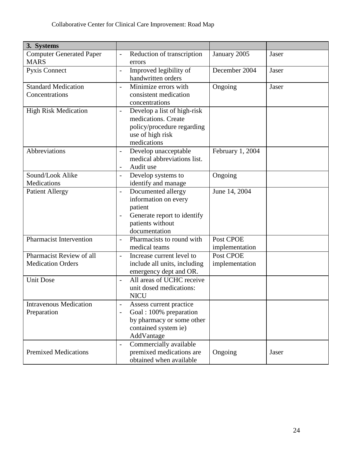| 3. Systems                                           |                                            |                                                                                                                           |                             |       |
|------------------------------------------------------|--------------------------------------------|---------------------------------------------------------------------------------------------------------------------------|-----------------------------|-------|
| <b>Computer Generated Paper</b><br><b>MARS</b>       | $\overline{\phantom{m}}$                   | Reduction of transcription<br>errors                                                                                      | January 2005                | Jaser |
| Pyxis Connect                                        | $\overline{\phantom{a}}$                   | Improved legibility of<br>handwritten orders                                                                              | December 2004               | Jaser |
| <b>Standard Medication</b><br>Concentrations         | $\overline{a}$                             | Minimize errors with<br>consistent medication<br>concentrations                                                           | Ongoing                     | Jaser |
| <b>High Risk Medication</b>                          | $\overline{\phantom{a}}$                   | Develop a list of high-risk<br>medications. Create<br>policy/procedure regarding<br>use of high risk<br>medications       |                             |       |
| Abbreviations                                        | $\overline{\phantom{a}}$<br>$\overline{a}$ | Develop unacceptable<br>medical abbreviations list.<br>Audit use                                                          | February 1, 2004            |       |
| Sound/Look Alike<br>Medications                      | $\frac{1}{2}$                              | Develop systems to<br>identify and manage                                                                                 | Ongoing                     |       |
| <b>Patient Allergy</b>                               | $\overline{a}$                             | Documented allergy<br>information on every<br>patient<br>Generate report to identify<br>patients without<br>documentation | June 14, 2004               |       |
| <b>Pharmacist Intervention</b>                       | $\overline{\phantom{0}}$                   | Pharmacists to round with<br>medical teams                                                                                | Post CPOE<br>implementation |       |
| Pharmacist Review of all<br><b>Medication Orders</b> | $\overline{\phantom{a}}$                   | Increase current level to<br>include all units, including<br>emergency dept and OR.                                       | Post CPOE<br>implementation |       |
| <b>Unit Dose</b>                                     | $\overline{\phantom{a}}$                   | All areas of UCHC receive<br>unit dosed medications:<br><b>NICU</b>                                                       |                             |       |
| <b>Intravenous Medication</b><br>Preparation         | $\frac{1}{2}$                              | Assess current practice<br>Goal: 100% preparation<br>by pharmacy or some other<br>contained system ie)<br>AddVantage      |                             |       |
| <b>Premixed Medications</b>                          | $\overline{\phantom{0}}$                   | Commercially available<br>premixed medications are<br>obtained when available                                             | Ongoing                     | Jaser |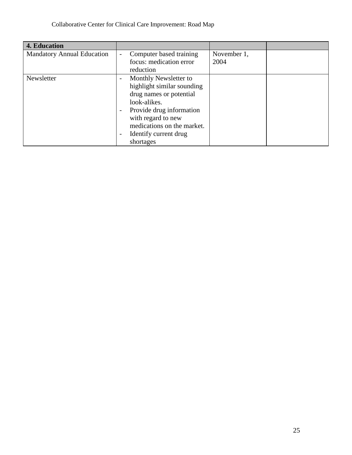| 4. Education                      |                                                   |             |  |
|-----------------------------------|---------------------------------------------------|-------------|--|
| <b>Mandatory Annual Education</b> | Computer based training<br>$\blacksquare$         | November 1, |  |
|                                   | focus: medication error                           | 2004        |  |
|                                   | reduction                                         |             |  |
| Newsletter                        | Monthly Newsletter to<br>$\overline{\phantom{a}}$ |             |  |
|                                   | highlight similar sounding                        |             |  |
|                                   | drug names or potential                           |             |  |
|                                   | look-alikes.                                      |             |  |
|                                   | Provide drug information                          |             |  |
|                                   | with regard to new                                |             |  |
|                                   | medications on the market.                        |             |  |
|                                   | Identify current drug<br>$\overline{\phantom{a}}$ |             |  |
|                                   | shortages                                         |             |  |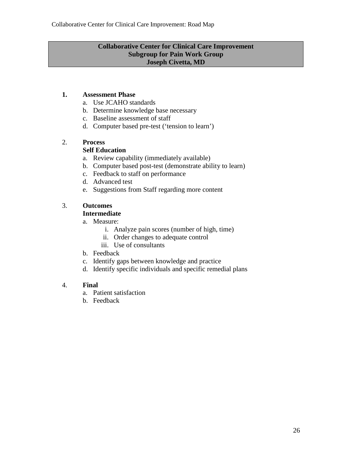#### **Collaborative Center for Clinical Care Improvement Subgroup for Pain Work Group Joseph Civetta, MD**

## **1. Assessment Phase**

- a. Use JCAHO standards
- b. Determine knowledge base necessary
- c. Baseline assessment of staff
- d. Computer based pre-test ('tension to learn')

# 2. **Process**

## **Self Education**

- a. Review capability (immediately available)
- b. Computer based post-test (demonstrate ability to learn)
- c. Feedback to staff on performance
- d. Advanced test
- e. Suggestions from Staff regarding more content

# 3. **Outcomes**

# **Intermediate**

- a. Measure:
	- i. Analyze pain scores (number of high, time)
	- ii. Order changes to adequate control
	- iii. Use of consultants
- b. Feedback
- c. Identify gaps between knowledge and practice
- d. Identify specific individuals and specific remedial plans

#### 4. **Final**

- a. Patient satisfaction
- b. Feedback